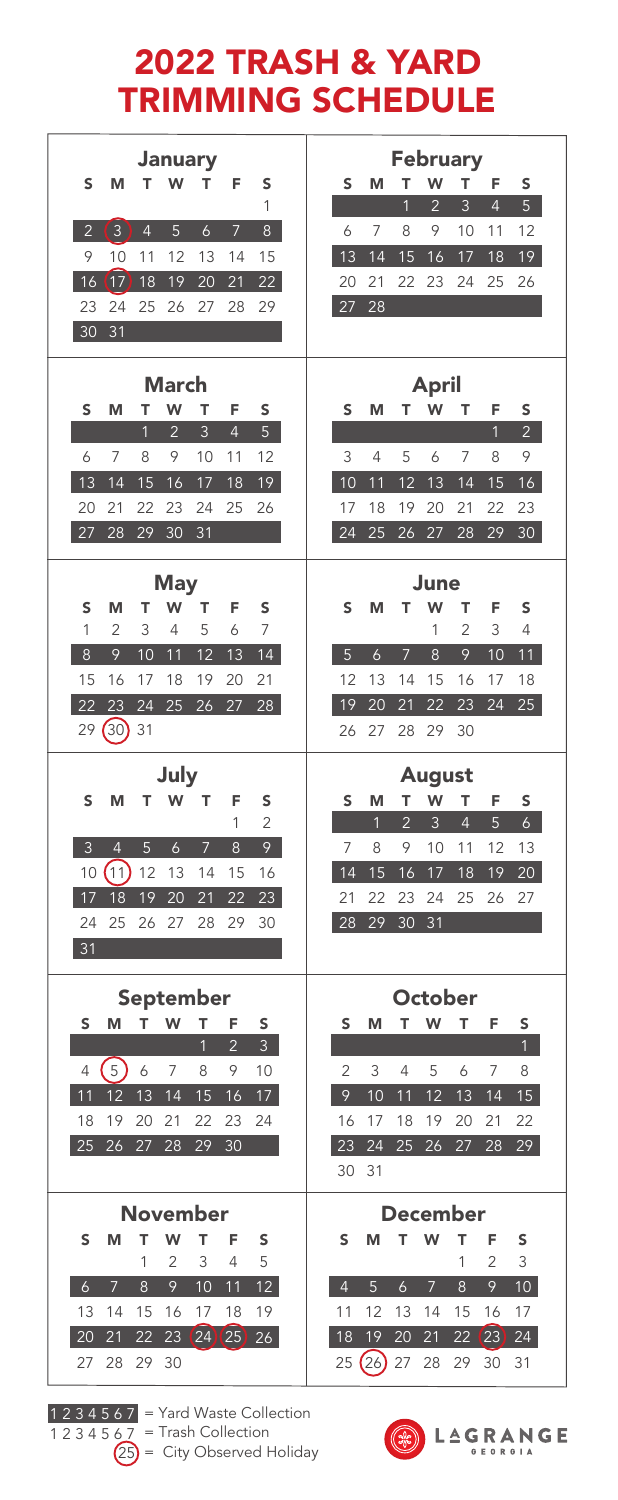## 2022 TRASH & YARD TRIMMING SCHEDULE

| January                                                                                                 | February                                                                                           |
|---------------------------------------------------------------------------------------------------------|----------------------------------------------------------------------------------------------------|
| Ś<br>W<br>F<br>т<br>T<br>S<br>М                                                                         | s<br>M<br>T<br>W<br>F<br>т<br>s                                                                    |
| 1                                                                                                       | $\overline{2}$<br>3<br>$\overline{4}$<br>5 <sup>1</sup><br>$\overline{1}$                          |
| $\left(3\right)$<br>$\overline{2}$<br>$\overline{4}$<br>5<br>$\ddot{\mathbf{6}}$<br>$\overline{7}$<br>8 | 6<br>8<br>9<br>10<br>12<br>7<br>11                                                                 |
| 9<br>15<br>10<br>11<br>12<br>13<br>14                                                                   | 14<br>18<br>13<br>15<br>16<br>17<br>19                                                             |
| (17)<br>22<br>16<br>18<br>19<br>20<br>21                                                                | 21<br>22<br>23<br>24<br>25<br>26<br>20                                                             |
| 26<br>27<br>28<br>23<br>24<br>25<br>29                                                                  | 27<br>28                                                                                           |
| 30<br>31                                                                                                |                                                                                                    |
| March                                                                                                   | April                                                                                              |
| s<br>M<br>T<br>W<br>T<br>F<br>Ś                                                                         | s<br>M<br>W<br>T<br>F<br>S<br>т                                                                    |
| $\overline{4}$<br>5<br>$\overline{2}$<br>3<br>1                                                         | $\overline{1}$<br>2 <sup>7</sup>                                                                   |
| 7<br>8<br>9<br>12<br>6<br>10<br>11                                                                      | 9<br>3<br>$\overline{4}$<br>5<br>6<br>7<br>8                                                       |
| 13<br>14<br>16<br>15<br>17<br>18<br>19                                                                  | 12<br>13<br>$\overline{14}$<br>16<br>10<br>11<br>15                                                |
| 21<br>22<br>23<br>24<br>25<br>20<br>26                                                                  | 20<br>21<br>22<br>17<br>18<br>19<br>23                                                             |
| 31<br>27<br>28<br>29<br>30                                                                              | 24<br>25<br>26<br>27<br>28<br>29<br>30                                                             |
| May                                                                                                     | June                                                                                               |
| M<br>т<br>w<br>T<br>F<br>S<br>S                                                                         | W<br>T<br>F<br>S<br>M<br>т<br>S                                                                    |
| 1<br>$\overline{c}$<br>3<br>5<br>7<br>4<br>6                                                            | 1<br>$\overline{c}$<br>3<br>$\overline{4}$                                                         |
| 9<br>10<br>$\overline{14}$<br>8<br>11<br>12<br>13                                                       | $\overline{6}$<br>$\overline{8}$<br>9<br>10<br>5<br>11<br>7                                        |
| 15<br>17<br>19<br>20<br>21<br>16<br>18                                                                  | 12<br>13<br>14<br>15<br>16<br>17<br>18                                                             |
| 23<br>24<br>25<br>26<br>28<br>22<br>27                                                                  | 19<br>21<br>22<br>23<br>24<br>25<br>20                                                             |
| (30)31<br>29                                                                                            | 29<br>26<br>27<br>28<br>30                                                                         |
| July                                                                                                    | <b>August</b>                                                                                      |
| W<br>т<br>F<br>s<br>М<br>т<br>s                                                                         | т<br>W<br>T<br>F<br>s<br>M<br>s                                                                    |
| 1<br>$\overline{c}$                                                                                     | $\overline{1}$<br>$\overline{2}$<br>$\overline{4}$<br>5<br>$\overline{6}$<br>$\mathbf{3}$          |
| 9<br>$\overline{3}$<br>$\overline{4}$<br>5<br>$\boldsymbol{6}$<br>8<br>$\overline{7}$                   | 7<br>9<br>10<br>12<br>8<br>11<br>13                                                                |
| (11)<br>12<br>10<br>13<br>14<br>15<br>16                                                                | 14<br>15<br>16<br>18<br>19<br>20<br>17                                                             |
| 18<br>19<br>20<br>$\overline{21}$<br>22<br>23<br>17<br>24<br>25<br>26<br>28<br>29<br>27<br>30           | 22<br>23<br>24<br>25<br>26<br>27<br>21<br>28 29 30 31                                              |
| 31                                                                                                      |                                                                                                    |
|                                                                                                         |                                                                                                    |
| September                                                                                               | October                                                                                            |
| S<br>T<br>W<br>T<br>M<br>F<br>S                                                                         | M<br>T<br>W<br>T<br>F<br>S<br>S                                                                    |
| $\overline{2}$<br>3<br>$\overline{1}$                                                                   | 1                                                                                                  |
| (5)<br>9<br>6<br>7<br>8<br>10<br>4                                                                      | $\overline{c}$<br>3<br>$\overline{4}$<br>5<br>6<br>7<br>8                                          |
| 13<br>14<br>12<br>15<br>16<br>17 <sup>7</sup><br>11<br>19<br>20<br>21<br>22                             | $\mathcal{Q}$<br>12<br>14<br>15 <sub>1</sub><br>10<br>11<br>13<br>16<br>19                         |
| 18<br>23<br>24<br>27<br>28<br>29<br>30<br>25<br>26                                                      | 22<br>17<br>18<br>20<br>21<br>23<br>24<br>25<br>26<br>28<br>29<br>27                               |
|                                                                                                         | 30<br>31                                                                                           |
|                                                                                                         |                                                                                                    |
|                                                                                                         |                                                                                                    |
| November                                                                                                | December                                                                                           |
| w<br>T<br>T<br>S<br>M<br>F<br>S                                                                         | T<br>W<br>S<br>M<br>т<br>F<br>S                                                                    |
| 3<br>4<br>5<br>1<br>$\overline{c}$                                                                      | $\overline{2}$<br>1<br>3                                                                           |
| 10<br>$\ddot{\delta}$<br>8<br>9<br>$\overline{11}$<br>12 <sup>°</sup><br>$\overline{7}$                 | $\overline{9}$<br>$\overline{4}$<br>5<br>$\ddot{\delta}$<br>8<br>10 <sub>1</sub><br>$\overline{7}$ |
| 13<br>14<br>15<br>16<br>17<br>18<br>19<br>21<br>22<br>20<br>26                                          | 11<br>12<br>13<br>14<br>15<br>16<br>17<br>18<br>19<br>20<br>21<br>22<br>24                         |
| 24<br>23<br>$\left(25\right)$<br>28<br>29<br>30<br>27                                                   | 23<br>(26)<br>27<br>28<br>29<br>30<br>31<br>25                                                     |

1 2 3 4 5 6 7<br>1 2 3 4 5 6 7<br>25

= Yard Waste Collection = Trash Collection = City Observed Holiday